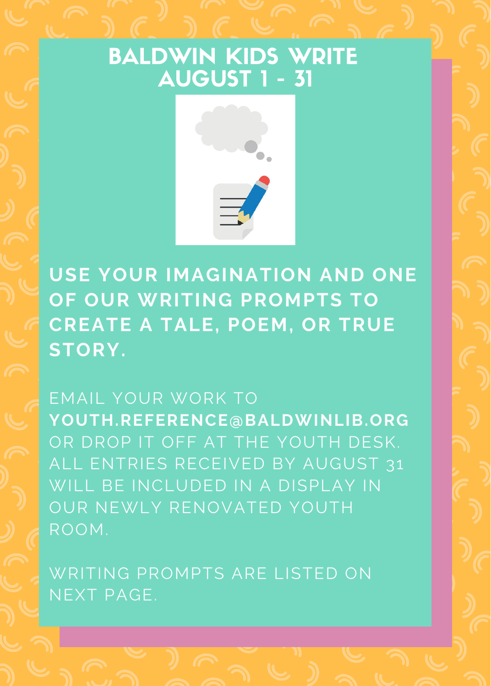## BALDWIN KIDS WRITE AUGUST 1 - 31



**USE YOUR IMAGINATION AND ONE OF OUR WRITING PROMPTS TO CREATE A TALE, POEM, OR TRUE STORY.**

EMAIL YOUR WORK TO **YOUTH.REFERENCE@BALDWINLIB.ORG** OR DROP IT OFF AT THE YOUTH DESK. ALL ENTRIES RECEIVED BY AUGUST 31 WILL BE INCLUDED IN A DISPLAY IN OUR NEWLY RENOVATED YOUTH ROOM.

WRITING PROMPTS ARE LISTED ON NEXT PAGE.